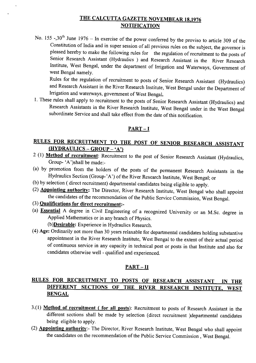### THE CALCUTTA GAZETTE NOVEMBEAR 18,1976 **NOTIFICATION**

No. 155 -,30<sup>th</sup> June 1976 - In exercise of the power conferred by the proviso to article 309 of the Constitution of India and in super session of all previous rules on the subject, the governor is pleased hereby to make the following rules for the regulation of recruitment to the posts of Senior Research Assistant (Hydraulics ) and Research Assistant in the River Research Institute, West Bengal, under the department of Irrigation and Waterways, Government of west Bengal namely.

Rules for the regulation of recruitment to posts of Senior Research Assistant (Hydraulics) and Research Assistant in the River Research Institute, West Bengal under the Department of Irrigation and waterways, government of West Bengal.

1. These rules shall apply to recruitment to the posts of Senior Research Assistant (Hydraulics) and Research Assistants in the River Research Institute, West Bengal under in the West Bengal subordinate Service and shall take effect from the date of this notification.

#### PART-I

## RULES FOR RECRUITMENT TO THE POST OF SENIOR RESEARCH ASSISTANT  $(HYDRAULICS - GROUP - 'A')$

- 2 (I) Method of recruitment: Recruitment to the post of Senior Research Assistant (Hydraulics, Group- 'A')shall be made:-
- (a) by promotion from the holders of the posts of the permanent Research Assistants in the Hydraulics Section (Group-'A') of the River Research Institute, West Bengal; or
- (b) by selection ( direct recruitment) departmental candidates being eligible to apply.
- (2) Appointing authority: The Director, River Research Institute, West Bengal who shall appoint the candidates of the recommendation of the Public Service Commission, West Bengal.

#### (3) Qualifications for direct recruitment:-

(a) Essential A degree in Civil Engineering of a recognized University or an M.Sc. degree in Applied Mathematics or in any branch of Physics.

(b)**Desirable:** Experience in Hydraulics Research.

(4) Age: Ordinarily not more than 30 years relaxable for departmental candidates holding substantive appointment in the River Research Institute, West Bengal to the extent of their actual period of continuous service in any capacity in technical post or posts in that Institute and also for candidates otherwise well - qualified and experienced.

### PART-II

### RULES FOR RECRUITMENT TO POSTS OF RESEARCH ASSISTANT IN THE DIFFERENT SECTIONS OF THE RIVER RESEARCH INSTITUTE, WEST BENGAL

- 3.(1) Method of recruitment ( for all posts): Recruitment to posts of Research Assistant in the different sections shall be made by selection (direct recruitment )departmental candidates being eligible to apply.
- (2) Appointing authority:- The Director, River Research Institute, West Bengal who shall appoint the candidates on the recommendation of the Public Service Commission, West Bengal.